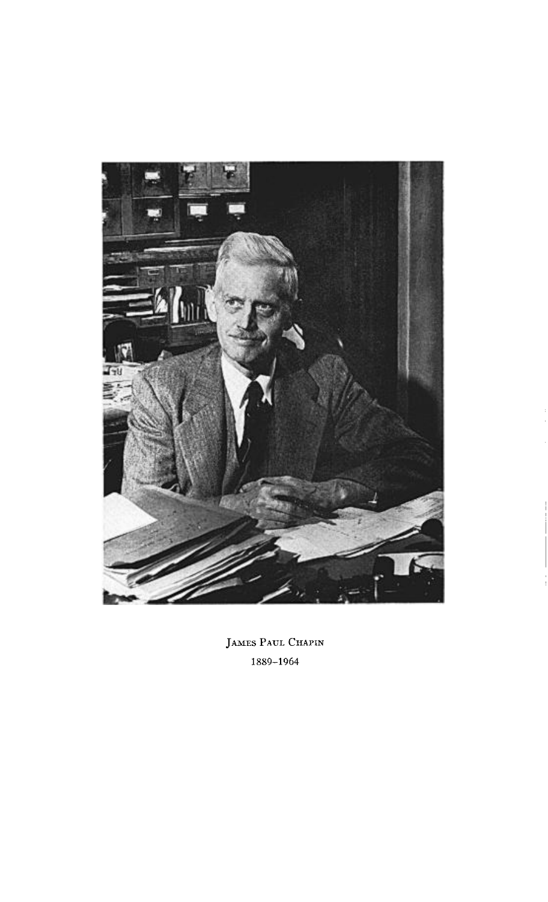

**JAMES PAUL CHAPIN 1889-1964**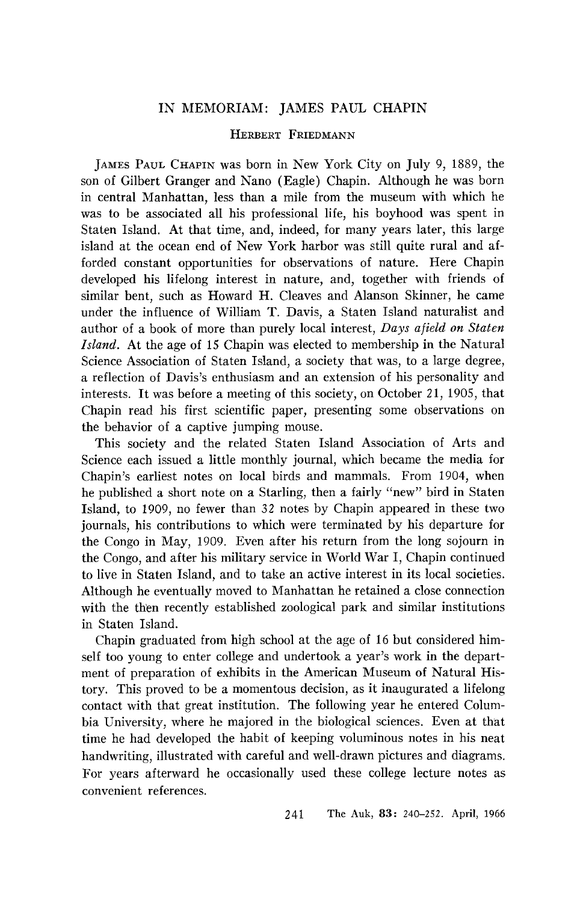## **IN MEMORIAM: JAMES PAUL CHAPIN**

## **HERBERT FRIEDMANN**

**JAMES PAUL CHAPIN was born in New York City on July 9, 1889, the son of Gilbert Granger and Nano (Eagle) Chapin. Although he was born in central Manhattan, less than a mile from the museum with which he**  was to be associated all his professional life, his boyhood was spent in **Staten Island. At that time, and, indeed, for many years later, this large island at the ocean end of New York harbor was still quite rural and afforded constant opportunities for observations of nature. Here Chapin developed his lifelong interest in nature, and, together with friends of similar bent, such as Howard H. Cleaves and Alanson Skinner, he came under the influence of William T. Davis, a Staten Island naturalist and author of a book of more than purely local interest, Days afield on Staten Island. At the age of 15 Chapin was elected to membership in the Natural Science Association of Staten Island, a society that was, to a large degree, a reflection of Davis's enthusiasm and an extension of his personality and interests. It was before a meeting of this society, on October 21, 1905, that Chapin read his first scientific paper, presenting some observations on the behavior of a captive jumping mouse.** 

**This society and the related Staten Island Association of Arts and Science each issued a little monthly journal, which became the media for Chapin's earliest notes on local birds and mammals. From 1904, when he published a short note on a Starling, then a fairly "new" bird in Staten Island, to 1909, no fewer than 32 notes by Chapin appeared in these two journals, his contributions to which were terminated by his departure for the Congo in May, 1909. Even after his return from the long sojourn in the Congo, and after his military service in World War I, Chapin continued to live in Staten Island, and to take an active interest in its local societies. Although he eventually moved to Manhattan he retained a close connection**  with the then recently established zoological park and similar institutions **in Staten Island.** 

**Chapin graduated from high school at the age of 16 but considered himself too young to enter college and undertook a year's work in the department of preparation of exhibits in the American Museum of Natural History. This proved to be a momentous decision, as it inaugurated a lifelong contact with that great institution. The following year he entered Columbia University, where he majored in the biological sciences. Even at that time he had developed the habit of keeping voluminous notes in his neat handwriting, illustrated with careful and well-drawn pictures and diagrams. For years afterward he occasionally used these college lecture notes as convenient references.**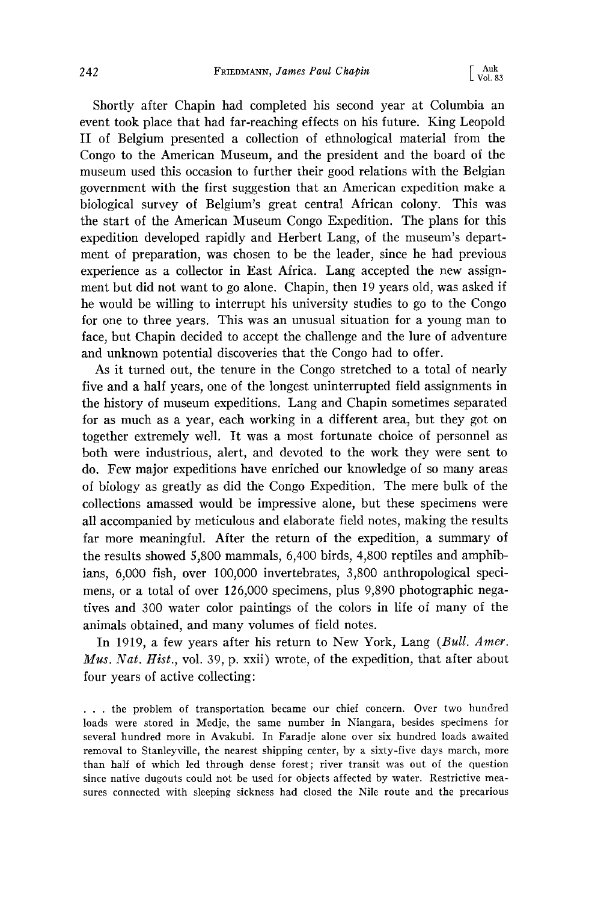**Shortly after Chapin had completed his second year at Columbia an**  event took place that had far-reaching effects on his future. King Leopold **II of Belgium presented a collection of ethnological material from the Congo to the American Museum, and the president and the board of the museum used this occasion to further their good relations with the Belgian government with the first suggestion that an American expedition make a biological survey of Belgium's great central African colony. This was the start of the American Museum Congo Expedition. The plans for this expedition developed rapidly and Herbert Lang, of the museum's department of preparation, was chosen to be the leader, since he had previous experience as a collector in East Africa. Lang accepted the new assignment but did not want to go alone. Chapin, then 19 years old, was asked if he would be willing to interrupt his university studies to go to the Congo for one to three years. This was an unusual situation for a young man to face, but Chapin decided to accept the challenge and the lure of adventure**  and unknown potential discoveries that the Congo had to offer.

**As it turned out, the tenure in the Congo stretched to a total of nearly five and a half years, one of the longest uninterrupted field assignments in**  the history of museum expeditions. Lang and Chapin sometimes separated **for as much as a year, each working in a different area, but they got on together extremely well. It was a most fortunate choice of personnel as both were industrious, alert, and devoted to the work they were sent to do. Few major expeditions have enriched our knowledge of so many areas**  of biology as greatly as did the Congo Expedition. The mere bulk of the **collections amassed would be impressive alone, but these spedmens were all accompanied by meticulous and elaborate field notes, making the results far more meaningful. After the return of the expedition, a summary of the results showed 5,800 mammals, 6,400 birds, 4,800 reptiles and amphibians, 6,000 fish, over 100,000 invertebrates, 3,800 anthropological speci**mens, or a total of over 126,000 specimens, plus 9,890 photographic nega**tives and 300 water color paintings of the colors in life of many of the animals obtained, and many volumes of field notes.** 

**In 1919, a few years after his return to New York, Lang (Bull. Amer. Mus. Nat. Hist., vol. 39, p. xxii) wrote, of the expedition, that after about four years of active collecting:** 

**ß . . the problem of transportation became our chief concern. Over two hundred loads were stored in Medje, the same number in Niangara, besides specimens for several hundred more in Avakubi. In Faradje alone over six hundred loads awaited removal to Stanleyville, the nearest shipping center, by a sixty-five days march, more than half of which led through dense forest; river transit was out of the question since native dugouts could not be used for objects affected by water. Restrictive measures connected with sleeping sickness had closed the Nile route and the precarious**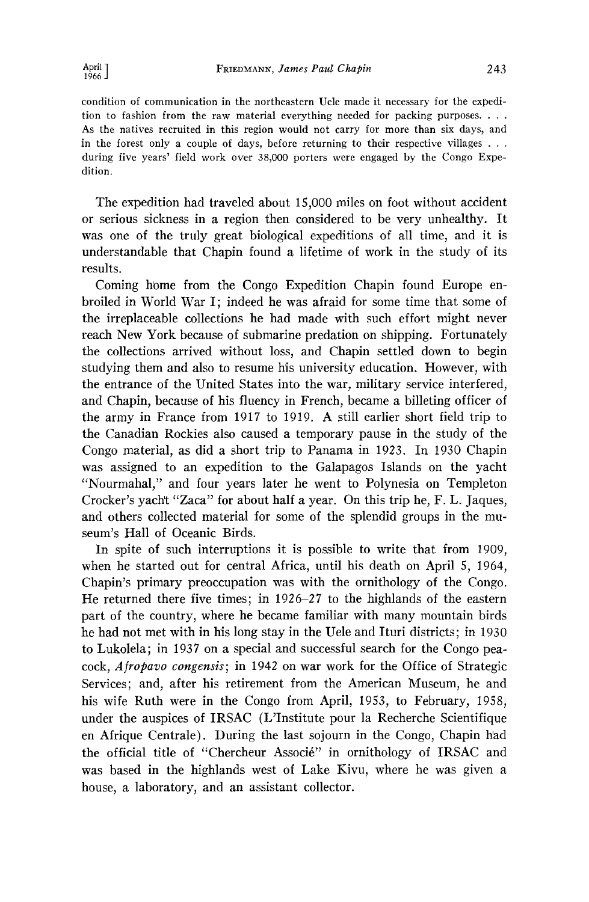**condition of communication in the northeastern Uele made it necessary for the expedition to fashion from the raw material everything needed for packing purposes .... As the natives recruited in this region would not carry for more than six days, and in the forest only a couple of days, before returning to their respective villages . . . during five years' field work over 38,000 porters were engaged by the Congo Expedition.** 

**The expedition had traveled about 15,000 miles on foot without accident or serious sickness in a region then considered to be very unhealthy. It was one of the truly great biological expeditions of all time, and it is understandable that Chapin found a lifetime of work in the study of its results.** 

Coming home from the Congo Expedition Chapin found Europe en**broiled in World War I; indeed he was afraid for some time that some of the irreplaceable collections he had made with such effort might never reach New York because of submarine predation on shipping. Fortunately the collections arrived without loss, and Chapin settled down to begin**  studying them and also to resume his university education. However, with **the entrance of the United States into the war, military service interfered, and Chapin, because of his fluency in French, became a billeting officer of the army in France from 1917 to 1919. A still earlier short field trip to the Canadian Rockies also caused a temporary pause in the study of the Congo material, as did a short trip to Panama in 1923. In 1930 Chapin was assigned to an expedition to the Galapagos Islands on the yacht "Nourmahal," and four years later he went to Polynesia on Templeton Crocker's yacht "Zaca" for about half a year. On this trip he, F. L. Jaques, and others collected material for some of the splendid groups in the museum's Hall of Oceanic Birds.** 

**In spite of such interruptions it is possible to write that from 1909, when he started out for central Africa, until his death on April 5, 1964, Chapin's primary preoccupation was with the ornithology of the Congo. He returned there five times; in 1926-27 to the highlands of the eastern part of the country, where he became familiar with many mountain birds**  he had not met with in his long stay in the Uele and Ituri districts; in 1930 **to Lukolela; in 1937 on a special and successful search for the Congo peacock, Afropavo congensis; in 1942 on war work for the Office of Strategic Services; and, after his retirement from the American Museum, he and his wife Ruth were in the Congo from April, 1953, to February, 1958, under the auspices of IRSAC (L'Institute pour la Recherche Scientifique en Afrique Centrale). During the last sojourn in the Congo, Chapin had**  the official title of "Chercheur Associé" in ornithology of IRSAC and **was based in the highlands west of Lake Kivu, where he was given a house, a laboratory, and an assistant collector.**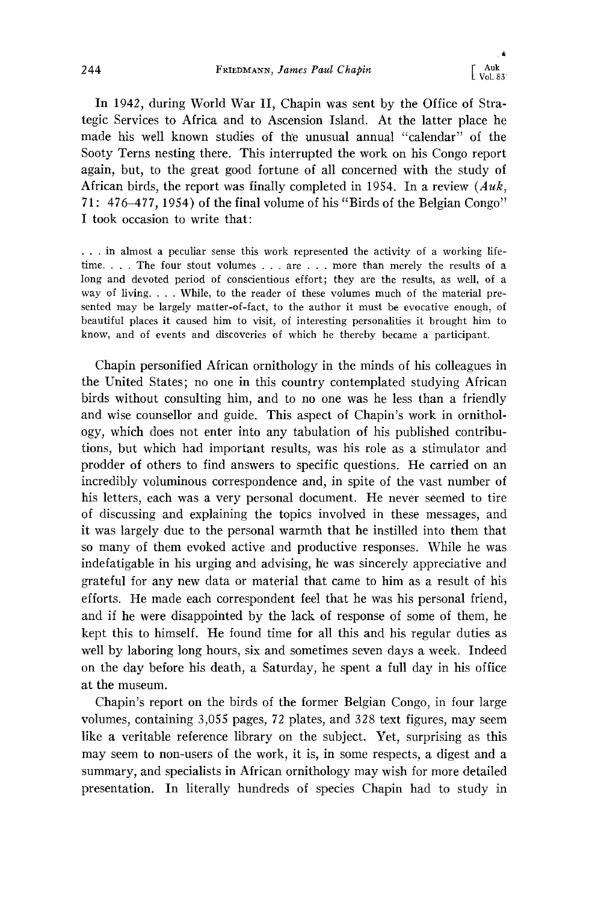**In 1942, during World War II, Chapin was sent by the Office of Strategic Services to Africa and to Ascension Island. At the latter place he**  made his well known studies of the unusual annual "calendar" of the **Sooty Terns nesting there. This interrupted the work on his Congo report again, but, to the great good fortune of all concerned with the study of African birds, the report was finally completed in 1954. In a review (Auk, 71: 476-477, 1954) of the final volume of his "Birds of the Belgian Congo" I took occasion to write that:** 

**ß . . in almost a peculiar sense this work represented the activity of a working lifetime .... The four stout volumes . . . are . . . more than merely the results of a long and devoted period of conscientious effort; they are the results, as well, of a way of living .... While, to the reader of these volumes much of the material presented may be largely matter-of-fact, to the author it must be evocative enough, of beautiful places it caused him to visit, of interesting personalities it brought him to know, and of events and discoveries of which he thereby became a participant.** 

**Chapin personified African ornithology in the minds of his colleagues in the United States; no one in this country contemplated studying African birds without consulting him, and to no one was he less than a friendly and wise counsellor and guide. This aspect of Chapin's work in ornithology, which does not enter into any tabulation of his published contributions, but which had important results, was his role as a stimulator and prodder of others to find answers to specific questions. He carried on an incredibly voluminous correspondence and, in spite of the vast number of his letters, each was a very personal document. He never seemed to tire of discussing and explaining the topics involved in these messages, and it was largely due to the personal warmth that he instilled into them that so many of them evoked active and productive responses. While he was indefatigable in his urging and advising, h'e was sincerely appreciative and grateful for any new data or material that came to him as a result of his efforts. He made each correspondent feel that he was his personal friend, and if he were disappointed by the lack of response of some of them, he kept this to himself. He found time for all this and his regular duties as well by laboring long hours, six and sometimes seven days a week. Indeed on the day before his death, a Saturday, he spent a full day in his office at the museum.** 

**Chapin's report on the birds of the former Belgian Congo, in four large volumes, containing 3,055 pages, 72 plates, and 328 text figures, may seem like a veritable reference library on the subject. Yet, surprising as this may seem to non-users of the work, it is, in some respects, a digest and a summary, and specialists in African ornithology may wish for more detailed presentation. In literally hundreds of species Chapin had to study in**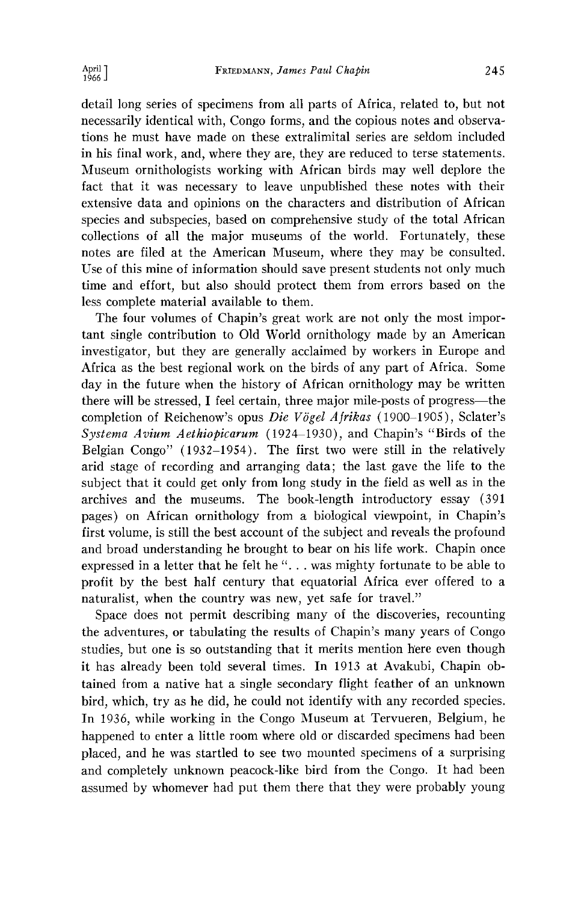**detail long series of specimens from all parts of Africa, related to, but not necessarily identical with, Congo forms, and the copious notes and observations he must have made on these extralimital series are seldom included in his final work, and, where they are, they are reduced to terse statements. Museum ornithologists working with African birds may well deplore the fact that it was necessary to leave unpublished these notes with their extensive data and opinions on the characters and distribution of African species and subspecies, based on comprehensive study of the total African collections of all the major museums of the world. Fortunately, these notes are filed at the American Museum, where they may be consulted. Use of this mine of information should save present students not only much time and effort, but also should protect them from errors based on the less complete material available to them.** 

**The four volumes of Chapin's great work are not only the most important single contribution to Old World ornithology made by an American investigator, but they are generally acclaimed by workers in Europe and Africa as the best regional work on the birds of any part of Africa. Some day in the future when the history of African ornithology may be written there will be stressed, I feel certain, three major mile-posts of progress--the**  completion of Reichenow's opus Die Vögel Afrikas (1900-1905), Sclater's Systema Avium Aethiopicarum (1924-1930), and Chapin's "Birds of the **Belgian Congo" (1932-1954). The first two were still in the relatively arid stage of recording and arranging data; the last gave the life to the subject that it could get only from long study in the field as well as in the archives and the museums. The book-length introductory essay (391 pages) on African ornithology from a biological viewpoint, in Chapin's first volume, is still the best account of the subject and reveals the profound and broad understanding he brought to bear on his life work. Chapin once expressed in a letter that he felt he "... was mighty fortunate to be able to profit by the best half century that equatorial Africa ever offered to a naturalist, when the country was new, yet safe for travel."** 

**Space does not permit describing many of the discoveries, recounting the adventures, or tabulating the results of Chapin's many years of Congo**  studies, but one is so outstanding that it merits mention here even though **it has already been told several times. In 1913 at Avakubi, Chapin obtained from a native hat a single secondary flight feather of an unknown bird, which, try as he did, he could not identify with any recorded species. In 1936, while working in the Congo Museum at Tervueren, Belgium, he happened to enter a little room where old or discarded specimens had been placed, and he was startled to see two mounted specimens of a surprising and completely unknown peacock-like bird from the Congo. It had been assumed by whomever had put them there that they were probably young**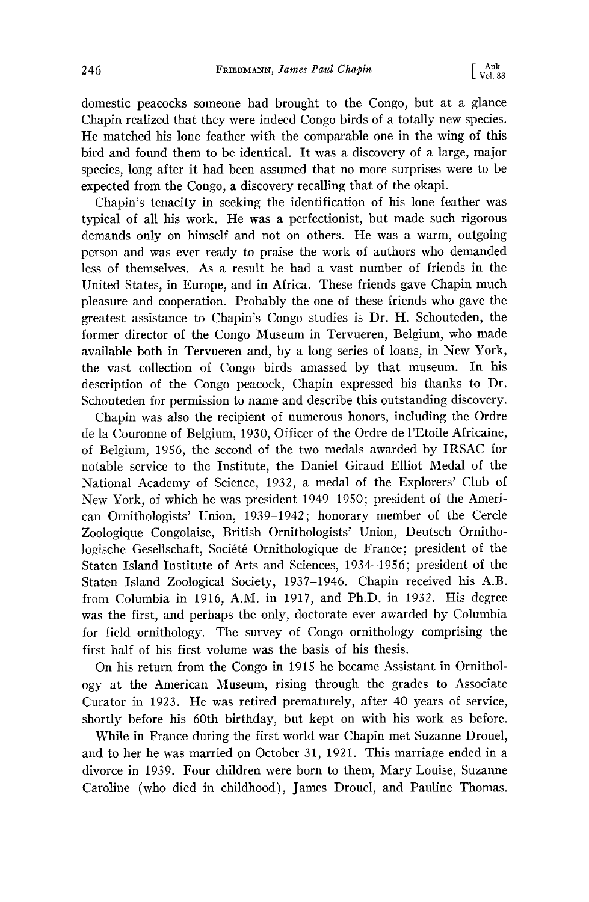**domestic peacocks someone had brought to the Congo, but at a glance Chapin realized that they were indeed Congo birds of a totally new species. He matched his lone feather with the comparable one in the wing of this bird and found them to be identical. It was a discovery of a large, major species, long after it had been assumed that no more surprises were to be expected from the Congo, a discovery recalling that of the okapi.** 

**Chapin's tenacity in seeking the identification of his lone feather was typical of all his work. He was a perfectionist, but made such rigorous demands only on himself and not on others. He was a warm, outgoing person and was ever ready to praise the work of authors who demanded less of themselves. As a result he had a vast number of friends in the United States, in Europe, and in Africa. These friends gave Chapin much pleasure and cooperation. Probably the one of these friends who gave the greatest assistance to Chapin's Congo studies is Dr. H. Schouteden, the former director of the Congo Museum in Tervueren, Belgium, who made available both in Tervueren and, by a long series of loans, in New York, the vast collection of Congo birds amassed by that museum. In his description of the Congo peacock, Chapin expressed his thanks to Dr. Schouteden for permission to name and describe this outstanding discovery.** 

**Chapin was also the recipient of numerous honors, including the Ordre de la Couronne of Belgium, 1930, Officer of the Ordre de l'Etoile Africaine, of Belgium, 1956, the second of the two medals awarded by IRSAC for notable service to the Institute, the Daniel Giraud Elliot Medal of the National Academy of Science, 1932, a medal of the Explorers' Club of New York, of which he was president 1949-1950; president of the American Ornithologists' Union, 1939-1942; honorary member of the Cercle Zoologique Congolaise, British Ornithologists' Union, Deutsch Ornitho**logische Gesellschaft, Société Ornithologique de France; president of the **Staten Island Institute of Arts and Sciences, 1934-1956; president of the Staten Island Zoological Society, 1937-1946. Chapin received his A.B. from Columbia in 1916, A.M. in 1917, and Ph.D. in 1932. His degree was the first, and perhaps the only, doctorate ever awarded by Columbia for field ornithology. The survey of Congo ornithology comprising the first half of his first volume was the basis of his thesis.** 

**On his return from the Congo in 1915 he became Assistant in Ornithology at the American Museum, rising through the grades to Associate Curator in 1923. He was retired prematurely, after 40 years of service, shortly before his 60th birthday, but kept on with his work as before.** 

**While in France during the first world war Chapin met Suzanne Drouel, and to her he was married on October 31, 1921. This marriage ended in a divorce in 1939. Four children were born to them, Mary Louise, Suzanne Caroline (who died in childhood), James Drouel, and Pauline Thomas.**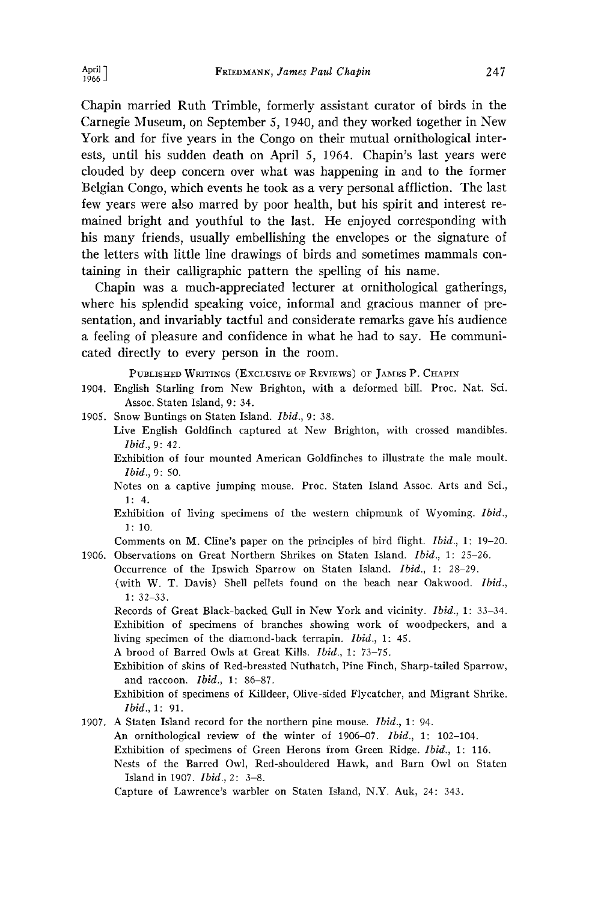**Chapin married Ruth Trimble, formerly assistant curator of birds in the Carnegie Museum, on September 5, 1940, and they worked together in New York and for five years in the Congo on their mutual ornithological interests, until his sudden death on April 5, 1964. Chapin's last years were clouded by deep concern over what was happening in and to the former Belgian Congo, which events he took as a very personal affliction. The last few years were also marred by poor health, but his spirit and interest remained bright and youthful to the last. He enjoyed corresponding with his many friends, usually embellishing the envelopes or the signature of the letters with little line drawings of birds and sometimes mammals containing in their calligraphic pattern the spelling of his name.** 

**Chapin was a much-appreciated lecturer at ornithological gatherings, where his splendid speaking voice, informal and gracious manner of presentation, and invariably tactful and considerate remarks gave his audience a feeling of pleasure and confidence in what he had to say. He communicated directly to every person in the room.** 

PUBLISHED WRITINGS (EXCLUSIVE OF REVIEWS) OF JAMES P. CHAPIN

- **1904. English Starling from New Brighton, with a deformed bill. Proc. Nat. Sci. Assoc. Staten Is]and, 9: 34.**
- **1905. Snow Buntings on Staten Island. Ibid., 9: 38.** 
	- Live English Goldfinch captured at New Brighton, with crossed mandibles. **Ibid., 9: 42.**
	- **Exhibition of four mounted American Goldfinches to illustrate the male moult. Ibid., 9: 50.**
	- **Notes on a captive jumping mouse. Proc. Staten Island Assoc. Arts and Sci., 1: 4.**
	- **Exhibition of living specimens of the western chipmunk of Wyoming. Ibid., 1: 10.**

**Comments on M. Cline's paper on the principles of bird flight. Ibid., 1: 19-20.** 

**1906. Observations on Great Northern Shrikes on Staten Island. Ibid., 1: 25-26.**  Occurrence of the Ipswich Sparrow on Staten Island. *Ibid.*, 1: 28-29. **(with W. T. Davis) Shell pellets found on the beach near Oakwood. Ibid., 1: 32-33.** 

**Records of Great Black-backed Gull in New York and vicinity. Ibid., 1: 33-34. Exhibition of specimens of branches showing work of woodpeckers, and a living specimen of the diamond-back terrapin. Ibid., 1: 45.** 

**A brood of Barred Owls at Great Kills. Ibid., 1: 73-75.** 

**Exhibition of skins of Red-breasted Nuthatch, Pine Finch, Sharp-tailed Sparrow, and raccoon. Ibid., 1: 86-87.** 

**1907. A Staten Island record for the northern pine mouse. Ibid., 1: 94.** 

An ornithological review of the winter of 1906-07. *Ibid.*, 1: 102-104.

**Exhibition of specimens of Green Herons from Green Ridge. Ibid., 1: 116.** 

**Nests of the Barred Owl, Red-shouldered Hawk, and Barn Owl on Staten Island in 1907. Ibid., 2: 3-8.** 

**Capture of Lawrence's warbler on Staten Island, N.Y. Auk, 24: 343.** 

**Exhibition of specimens of Killdeer, Olive-sided Flycatcher, and Migrant Shrike. Ibid., 1: 91.**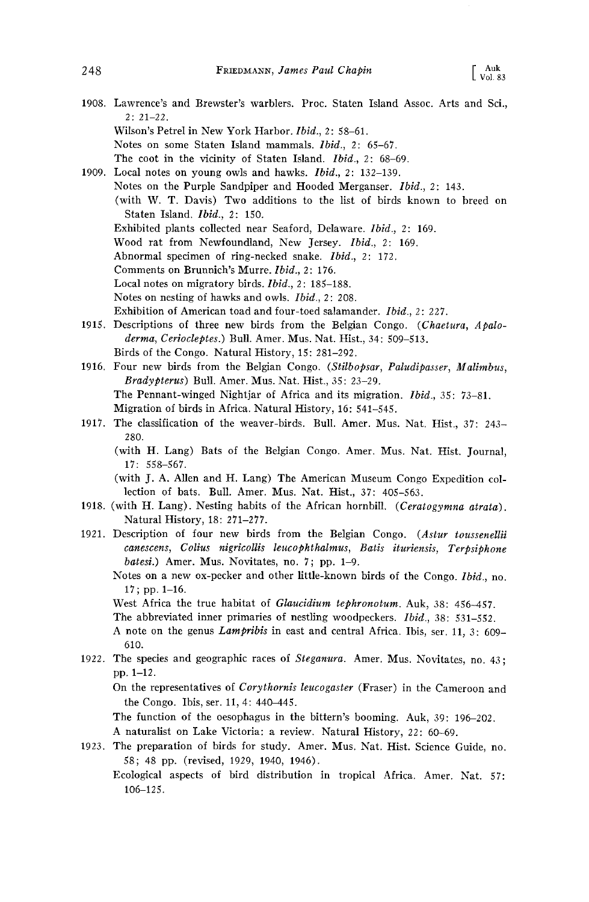- **1908. Lawrence's and Brewster's warblers. Proc. Staten Island Assoc. Arts and Sci., 2: 21-22.** 
	- **Wilson's Petrel in New York Harbor. Ibid., 2: 58-61.**
	- **Notes on some Staten Island mammals. Ibid., 2: 65-67.**
	- **The coot in the vicinity of Staten Island. Ibid., 2: 68-69.**

**1909. Local notes on young owls and hawks. Ibid., 2: 132-139. Notes on the Purple Sandpiper and Hooded Merganser. Ibid., 2: 143. (with W. T. Davis) Two additions to the list of birds known to breed on Staten Island. Ibid., 2: 150.**  Exhibited plants collected near Seaford, Delaware. *Ibid.*, 2: 169. **Wood rat from Newfoundland, New Jersey. Ibid., 2: 169.**  Abnormal specimen of ring-necked snake. *Ibid.*, 2: 172. **Comments on Brunnich's Murre. Ibid., 2: 176. Local notes on migratory birds. Ibid., 2: 185-188.**  Notes on nesting of hawks and owls. *Ibid.*, 2: 208. **Exhibition of American toad and four-toed salamander. Ibid., 2:227.** 

- **1915. Descriptions of three new birds from the Belgian Congo. (Chaetura, ApaIoderma, CerlocIeptes.) Bull. Amer. Mus. Nat. Hist., 34: 509-513. Birds of the Congo. Natural History, 15: 281-292.**
- **1916. Four new birds from the Belgian Congo. (StiIbopsar, PaIudlpasser, MaIimbus, Bradypterus) Bull. Amer. Mus. Nat. Hist., 35: 23-29. The Pennant-winged Nightjar of Africa and its migration. Ibid., 35: 73-81. Migration of birds in Africa. Natural History, 16: 541-545.**
- **1917. The classification of the weaver-birds. Bull. Amer. Mus. Nat. Hist., 37: 243- 280.** 
	- **(with H. Lang) Bats of the Belgian Congo. Amer. Mus. Nat. Hist. Journal, 17: 558-567.**

**(with J. A. Allen and H. Lang) The American Museum Congo Expedition collection of bats. Bull. Amer. Mus. Nat. Hist., 37: 405-563.** 

- **1918. (with H. Lang). Nesting habits of the African hornbill. (Ceratogymna atrata). Natural History, 18: 271-277.**
- **1921. Description of four new birds from the Belgian Congo. (Astur tousseneIlii**  canescens, Colius nigricollis leucophthalmus, Batis ituriensis, Terpsiphone **batesi.) Amer. Mus. Novitates, no. 7; pp. 1-9.** 
	- **Notes on a new ox-pecker and other little-known birds of the Congo. Ibid., no. 17; pp. 1-16.**
	- **West Africa the true habitat of GIaucidium tephronotum. Auk, 38: 456-457.**

**The abbreviated inner primaries of nestling woodpeckers. Ibid., 38: 531-552.** 

- A note on the genus *Lampribis* in east and central Africa. Ibis, ser. 11, 3: 609– **610.**
- **1922. The species and geographic races of Steganura. Amer. Mus. Novitates, no. 43; pp. 1-12.**

On the representatives of *Corythornis leucogaster* (Fraser) in the Cameroon and **the Congo. Ibis, ser. 11, 4: 440-445.** 

**The function of the oesophagus in the bittern's booming. Auk, 39: 196-202. A naturalist on Lake Victoria: a review. Natural History, 22: 60-69.** 

- **1923. The preparation of birds for study. Amer. Mus. Nat. Hist. Science Guide, no. 58; 48 pp. (revised, 1929, 1940, 1946).** 
	- **Ecological aspects of bird distribution in tropical Africa. Amer. Nat. 57: 106-125.**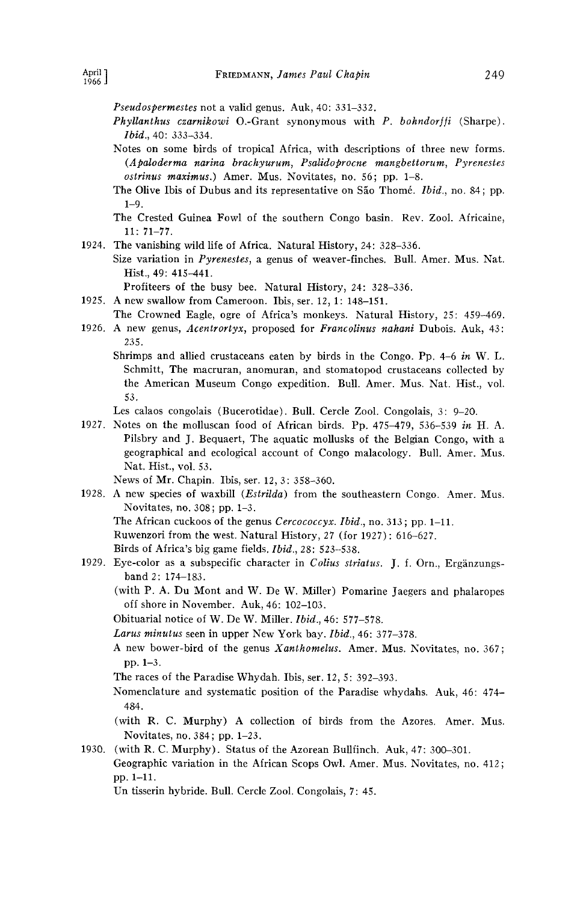**Pseudospermestes not a valid genus. Auk, 40: 331-332.** 

- Phyllanthus czarnikowi O.-Grant synonymous with P. bohndorffi (Sharpe). **Ibid., 40: 333-334.**
- **Notes on some birds of tropical Africa, with descriptions of three new forms. (Apaloderma narina brachyurum, Psalidoprocne mangbettorum, Pyrenestes ostrinus maximus.) Amer. Mus. Novitates, no. 56; pp. 1-8.**
- The Olive Ibis of Dubus and its representative on São Thomé. *Ibid.*, no. 84; pp. **1-9.**
- **The Crested Guinea Fowl of the southern Congo basin. Rev. Zool. Africaine, 11: 71-77.**
- **1924. The vanishing wild life of Africa. Natural History, 24: 328-336.** 
	- **Size variation in Pyrenestes, a genus of weaver-finches. Bull. Amer. Mus. Nat. Hist., 49: 415-441.**

**Profiteers of the busy bee. Natural History, 24: 328-336.** 

- **1925. A new swallow from Cameroon. Ibis, ser. 12, 1: 148-151.**
- **The Crowned Eagle, ogre of Africa's monkeys. Natural History, 25: 459-469. 1926. A new genus, Acentrortyx, proposed for Francolinus nahani Dubois. Auk, 43:**

**235.** 

**Shrimps and allied crustaceans eaten by birds in the Congo. Pp. 4-6 in W. L. Schmitt, The macruran, anomuran, and stomatopod crustaceans collected by the American Museum Congo expedition. Bull. Amer. Mus. Nat. Hist., vol. 53.** 

**Les calaos congolais (Bucerotidae). Bull. Cercle Zool. Congolais, 3: 9-20.** 

**1927. Notes on the molluscan food of African birds. Pp. 475-479, 536-539 in H. A. Pilsbry and J. Bequaert, The aquatic mollusks of the Belgian Congo, with a geographical and ecological account of Congo malacology. Bull. Amer. Mus. Nat. Hist., vol. 53.** 

**News of Mr. Chapin. Ibis, ser. 12, 3: 358-360.** 

**1928. A new species of waxbill (Estrilda) from the southeastern Congo. Amer. Mus. Novitates, no. 308; pp. 1-3.** 

**The African cuckoos of the genus Cercococcyx. Ibid., no. 313; pp. 1-11.** 

**Ruwenzori from the west. Natural History, 27 (for 1927): 616-627.** 

**Birds of Africa's big game fields. Ibid., 28: 523--538.** 

1929. Eye-color as a subspecific character in Colius striatus. J. f. Orn., Ergänzungs**band 2: 174-183.** 

**(with P. A. Du Mont and W. De W. Miller) Pomarine Jaegers and phalaropes off shore in November. Auk, 46: 102-103.** 

**Obituarial notice of W. De W. Miller. Ibid., 46: 577-578.** 

**Larus minutus seen in upper New York bay. Ibid., 46: 377-378.** 

- **A new bower-bird of the genus Xanthomelus. Amer. Mus. Novitates, no. 367; pp. 1-3.**
- **The races of the Paradise Whydab. Ibis, ser. 12, 5: 392-393.**

**Nomenclature and systematic position of the Paradise whydabs. Auk, 46: 474- 484.** 

**(with R. C. Murphy) A collection of birds from the Azores. Amer. Mus. Novitates, no. 384; pp. 1-23.** 

**1930. (with R. C. Murphy). Status of the Azorean Bullfinch. Auk, 47: 300-301. Geographic variation in the African Scops Owl. Amer. Mus. Novitates, no. 412; pp. 1-11.** 

**Un tisserin hybride. Bull. Cercle Zool. Congolais, 7: 45.**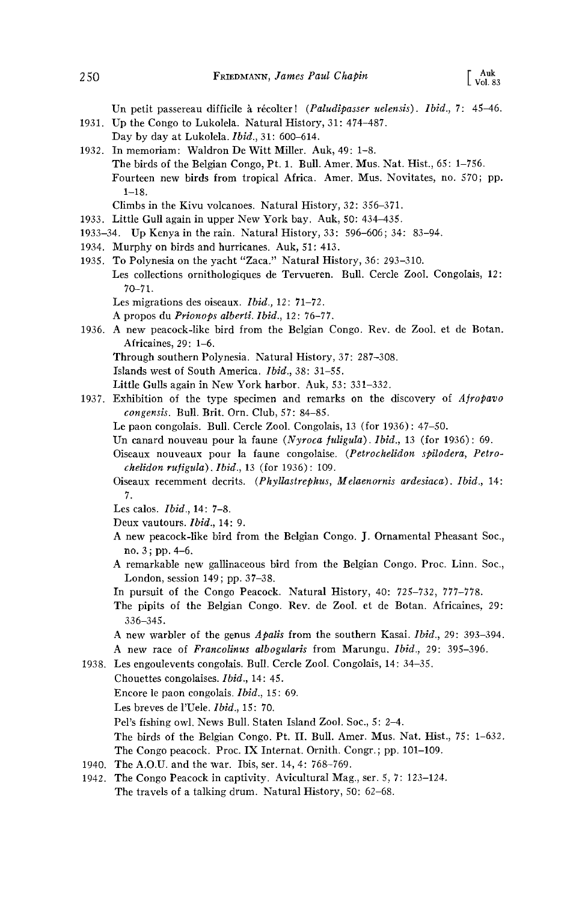Un petit passereau difficile à récolter! (*Paludipasser uelensis*). *Ibid.*, 7: 45–46. **1931. Up the Congo to Lukolela. Natural History, 31: 474-487.** 

- **Day by day at Lukolela. Ibfd., 31: 600-614.**
- **1932. In memoriam: Waldron De Witt Miller. Auk, 49: 1-8. The birds of the Belgian Congo, Pt. 1. Bull. Amer. Mus. Nat. Hist., 65: 1-756. Fourteen new birds from tropical Africa. Amer. Mus. Novitates, no. 570; pp. 1-18.** 
	- **Climbs in the Kivu volcanoes. Natural History, 32: 356-371.**
- **1933. Little Gull again in upper New York bay. Auk, 50: 434-435.**
- **1933-34. Up Kenya in the rain. Natural History, 33: 596-606; 34: 83-94.**
- **1934. Murphy on birds and hurricanes. Auk, 51: 413.**
- **1935. To Polynesia on the yacht "Zaca." Natural History, 36: 293-310. Les collections ornithologiques de Tervueren. Bull. Cercle Zool. Congolais, 12: 70-71.** 
	- **Les migrations des oiseaux. Ibid., 12: 71-72.**
	- **A propos du Prionops alberti. Ibid., 12: 76-77.**
- **1936. A new peacock-like bird from the Belgian Congo. Rev. de Zool. et de Botan. Africaines, 29: 1-6.** 
	- **Through southern Polynesia. Natural History, 37: 287-308.**
	- **Islands west of South America. Ibid., 38: 31-55.**
	- **Little Gulls again in New York harbor. Auk, 53: 331-332.**
- **1937. Exhibition of the type specimen and remarks on the discovery of Afropavo congensls. Bull. Brit. Orn. Club, 57: 84-85.** 
	- **Le paon congolais. Bull. Cercle Zool. Congolais, 13 (for 1936): 47-50.**
	- Un canard nouveau pour la faune (Nyroca fuligula). Ibid., 13 (for 1936): 69.
	- **Oiseaux nouveaux pour la faune congolaise. (Petrochelidon spilodera, Petrochelidon rufigula). Ibid., 13 (for 1936): 109.**
	- **Oiseaux recemment decrits. (Phyllastrephus, Melaenornis ardesiaca). Ibid., 14: 7.**
	- **Les cmos. Ibid., 14: 7-8.**
	- **Deux vautours. Ibid., 14: 9.**
	- **A new peacock-like bird from the Belgian Congo. J. Ornamental Pheasant Soc., no. 3; pp. 4-6.**
	- **A remarkable new gallinaceous bird from the Belgian Congo. Proc. Linn. Soc., London, session 149; pp. 37-38.**
	- **In pursuit of the Congo Peacock. Natural History, 40: 725-732, 777-778.**
	- **The pipits of the Belgian Congo. Rev. de Zool. et de Botan. Africaines, 29: 336-345.**
	- **A new warbler of the genus Apalis from the southern Kasai. Ibid., 29: 393-394.**  A new race of Francolinus albogularis from Marungu. Ibid., 29: 395-396.
- **1938. Les engoulevents congolais. Bull. Cercle Zool. Congolais, 14: 34-35.** 
	- **Chouettes congolaises. Ibid., 14: 45. Encore le paon congolais. Ibid., 15: 69.** 
		- **Les breves de l'Uele. Ibid., 15: 70.**
		- Pel's fishing owl. News Bull. Staten Island Zool. Soc., 5: 2-4.
		- **The birds of the Belgian Congo. Pt. II. Bull. Amer. Mus. Nat. Hist., 75: 1-632.**
		- **The Congo peacock. Proc. IX Internat. Ornith. Congr.; pp. 101-109.**
- **1940. The A.O.U. and the war. Ibis, ser. 14, 4: 768-769.**
- **1942. The Congo Peacock in captivity. Avicultural Mag., ser. 5, 7: 123-124. The travels of a talking drum. Natural History, 50: 62-68.**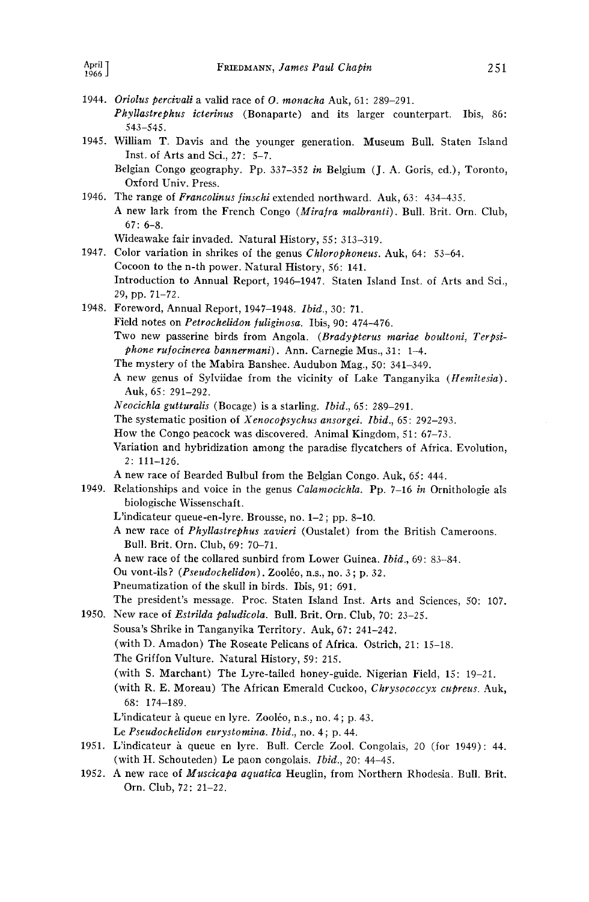- **1944. Oriolus percival{ a valid race of O. monacha Auk, 61: 289-291. Phyllastrephus icterinus (Bonaparte) and its larger counterpart. Ibis, 86: 543-545.**
- **1945. William T. Davis and the younger generation. Museum Bull. Staten Island Inst. of Arts and Sci., 27: 5-7.** 
	- **Belgian Congo geography. Pp. 337-352 in Belgium (J. A. Goris, ed.), Toronto, Oxford Univ. Press.**
- 1946. The range of Francolinus finschi extended northward. Auk, 63: 434-435. A new lark from the French Congo (Mirafra malbranti). Bull. Brit. Orn. Club, **67: 6-8.** 
	- **Wideawake fair invaded. Natural History, 55: 313-319.**
- **1947. Color variation in shrikes of the genus Chlorophoneus. Auk, 64: 53-64. Cocoon to the n-th power. Natural History, 56: 141. Introduction to Annual Report, 1946-1947. Staten Island Inst. of Arts and Sci., 29, pp. 71-72.**
- **1948. Foreword, Annual Report, 1947-1948. Ibid., 30: 71. Field notes on Petrochelidon fuliginosa. Ibis, 90: 474-476. Two new passefine birds from Angola. (Bradypterus mariae boultoni, Terpsiphone rufocinerea bannerman{). Ann. Carnegie Mus., 31: 1-4. The mystery of the Mabira Banshee. Audubon Mag., 50: 341-349. A new genus of Sylviidae from the vicinity of Lake Tanganyika (Hemires{a).** 
	- **Auk, 65: 291-292.**
	- **Neocichla gutturalis (Bocage) is a starling. Ibid., 65: 289-291.**
	- **The systematic position of Xenocopsychus ansorgei. Ibid., 65: 292-293.**
	- **How the Congo peacock was discovered. Animal Kingdom, 51: 67-73.**
	- **Variation and hybridization among the paradise flycatchers of Africa. Evolution, 2: 111-126.**
	- **A new race of Bearded Bulbul from the Belgian Congo. Auk, 65: 444.**
- **1949. Relationships and voice in the genus Calamocichla. Pp. 7-16 in Ornithologie als biologische Wissenschaft.** 
	- **L'indicateur queue-en-lyre. Brousse, no. 1-2; pp. 8-10.**
	- **A new race of Phyllastrephus xavier{ (Oustalet) from the British Cameroons. Bull. Brit. Orn. Club, 69: 70-71.**
	- **A new race of the collared sunbird from Lower Guinea. Ibid., 69: 83-84.**
	- Ou vont-ils? (Pseudochelidon). Zooléo, n.s., no. 3; p. 32.
	- **Pneumatization of the skull in birds. Ibis, 91: 691.**
- **The president's message. Proc. Staten Island Inst. Arts and Sciences, 50: 107. 1950. New race of Estrilda paludicola. Bull. Brit. Orn. Club, 70: 23-25.** 
	- **Sousa's Shrike in Tanganyika Territory. Auk, 67: 241-242. (with D. Amadon) The Roseate Pelicans of Africa. Ostrich, 21: 15-18.** 
		- **The Griffon Vulture. Natural History, 59: 215.**
		- **(with S. Marchant) The Lyre-tailed honey-guide. Nigerian Field, 15: 19-21.**
		- **(with R. E. Moreau) The African Emerald Cuckoo, Chrysococcyx cupreus. Auk, 68: 174-189.**
		- L'indicateur à queue en lyre. Zooléo, n.s., no. 4; p. 43.
		- **Le Pseudochelidon eurystomina. Ibid., no. 4; p. 44.**
- 1951. L'indicateur à queue en lyre. Bull. Cercle Zool. Congolais, 20 (for 1949): 44. **(with H. Schouteden) Le paon congolais. Ibid., 20: 44-45.**
- **1952. A new race of Muscicapa aquatica Heuglin, from Northern Rhodesia. Bull. Brit. Orn. Club, 72: 21-22.**